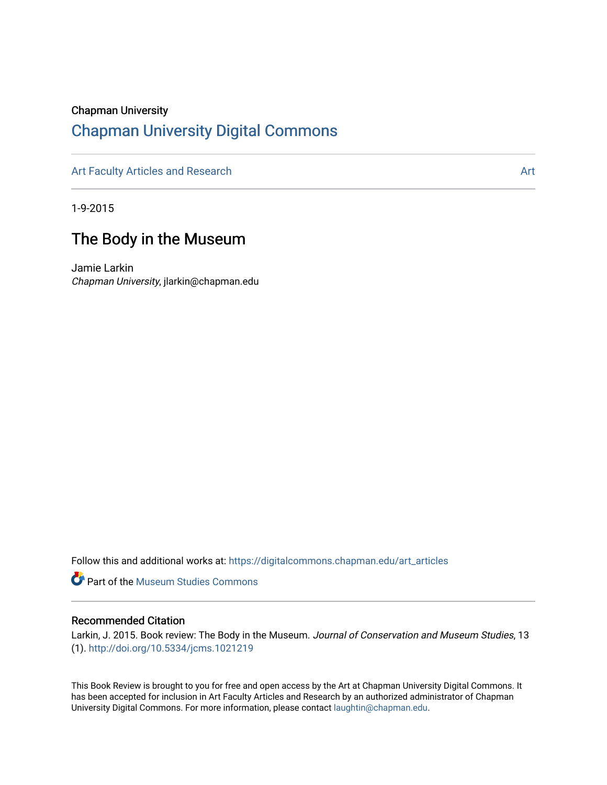#### Chapman University

## [Chapman University Digital Commons](https://digitalcommons.chapman.edu/)

[Art Faculty Articles and Research](https://digitalcommons.chapman.edu/art_articles) Articles and Research Articles and Research Articles Articles and Research Articles Articles and Articles and Research Articles and Articles and Research Articles and Articles and Articles

1-9-2015

## The Body in the Museum

Jamie Larkin Chapman University, jlarkin@chapman.edu

Follow this and additional works at: [https://digitalcommons.chapman.edu/art\\_articles](https://digitalcommons.chapman.edu/art_articles?utm_source=digitalcommons.chapman.edu%2Fart_articles%2F104&utm_medium=PDF&utm_campaign=PDFCoverPages)

**Part of the Museum Studies Commons** 

#### Recommended Citation

Larkin, J. 2015. Book review: The Body in the Museum. Journal of Conservation and Museum Studies, 13 (1). <http://doi.org/10.5334/jcms.1021219>

This Book Review is brought to you for free and open access by the Art at Chapman University Digital Commons. It has been accepted for inclusion in Art Faculty Articles and Research by an authorized administrator of Chapman University Digital Commons. For more information, please contact [laughtin@chapman.edu.](mailto:laughtin@chapman.edu)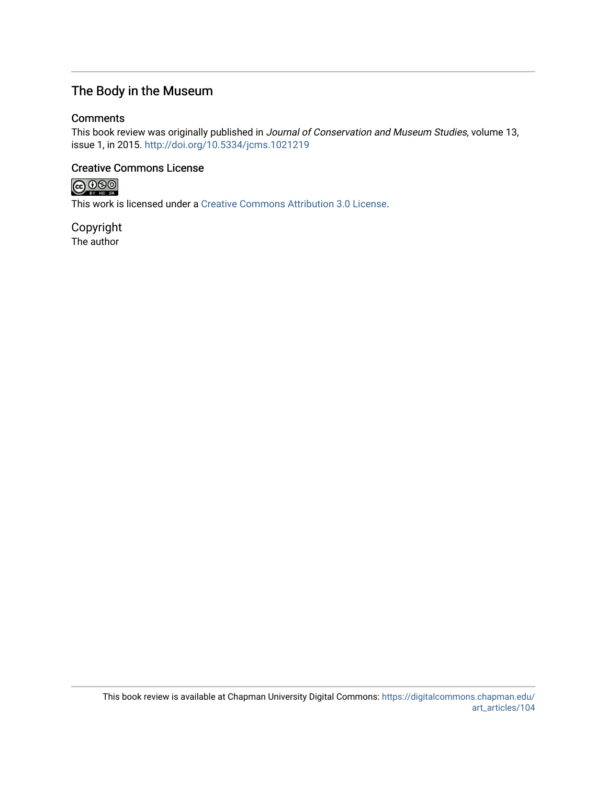## The Body in the Museum

#### **Comments**

This book review was originally published in Journal of Conservation and Museum Studies, volume 13, issue 1, in 2015. <http://doi.org/10.5334/jcms.1021219>

### Creative Commons License



This work is licensed under a [Creative Commons Attribution 3.0 License](https://creativecommons.org/licenses/by/3.0/).

Copyright The author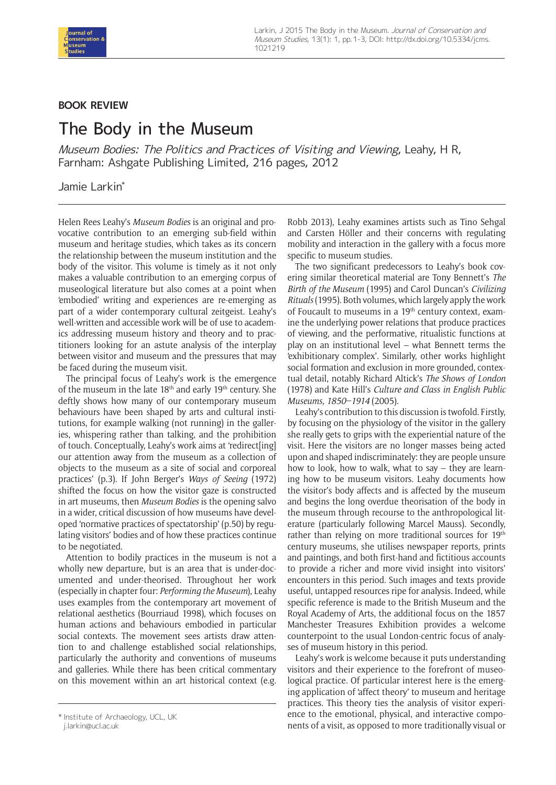

#### **BOOK REVIEW**

# The Body in the Museum

Museum Bodies: The Politics and Practices of Visiting and Viewing, Leahy, H R, Farnham: Ashgate Publishing Limited, 216 pages, 2012

#### Jamie Larkin\*

Helen Rees Leahy's *Museum Bodies* is an original and provocative contribution to an emerging sub-field within museum and heritage studies, which takes as its concern the relationship between the museum institution and the body of the visitor. This volume is timely as it not only makes a valuable contribution to an emerging corpus of museological literature but also comes at a point when 'embodied' writing and experiences are re-emerging as part of a wider contemporary cultural zeitgeist. Leahy's well-written and accessible work will be of use to academics addressing museum history and theory and to practitioners looking for an astute analysis of the interplay between visitor and museum and the pressures that may be faced during the museum visit.

The principal focus of Leahy's work is the emergence of the museum in the late  $18<sup>th</sup>$  and early  $19<sup>th</sup>$  century. She deftly shows how many of our contemporary museum behaviours have been shaped by arts and cultural institutions, for example walking (not running) in the galleries, whispering rather than talking, and the prohibition of touch. Conceptually, Leahy's work aims at 'redirect[ing] our attention away from the museum as a collection of objects to the museum as a site of social and corporeal practices' (p.3). If John Berger's *Ways of Seeing* (1972) shifted the focus on how the visitor gaze is constructed in art museums, then *Museum Bodies* is the opening salvo in a wider, critical discussion of how museums have developed 'normative practices of spectatorship' (p.50) by regulating visitors' bodies and of how these practices continue to be negotiated.

Attention to bodily practices in the museum is not a wholly new departure, but is an area that is under-documented and under-theorised. Throughout her work (especially in chapter four: *Performing the Museum*), Leahy uses examples from the contemporary art movement of relational aesthetics (Bourriaud 1998), which focuses on human actions and behaviours embodied in particular social contexts. The movement sees artists draw attention to and challenge established social relationships, particularly the authority and conventions of museums and galleries. While there has been critical commentary on this movement within an art historical context (e.g.

Robb 2013), Leahy examines artists such as Tino Sehgal and Carsten Höller and their concerns with regulating mobility and interaction in the gallery with a focus more specific to museum studies.

The two significant predecessors to Leahy's book covering similar theoretical material are Tony Bennett's *The Birth of the Museum* (1995) and Carol Duncan's *Civilizing Rituals* (1995). Both volumes, which largely apply the work of Foucault to museums in a 19<sup>th</sup> century context, examine the underlying power relations that produce practices of viewing, and the performative, ritualistic functions at play on an institutional level – what Bennett terms the 'exhibitionary complex'. Similarly, other works highlight social formation and exclusion in more grounded, contextual detail, notably Richard Altick's *The Shows of London*  (1978) and Kate Hill's *Culture and Class in English Public Museums, 1850–1914* (2005).

Leahy's contribution to this discussion is twofold. Firstly, by focusing on the physiology of the visitor in the gallery she really gets to grips with the experiential nature of the visit. Here the visitors are no longer masses being acted upon and shaped indiscriminately: they are people unsure how to look, how to walk, what to say – they are learning how to be museum visitors. Leahy documents how the visitor's body affects and is affected by the museum and begins the long overdue theorisation of the body in the museum through recourse to the anthropological literature (particularly following Marcel Mauss). Secondly, rather than relying on more traditional sources for 19th century museums, she utilises newspaper reports, prints and paintings, and both first-hand and fictitious accounts to provide a richer and more vivid insight into visitors' encounters in this period. Such images and texts provide useful, untapped resources ripe for analysis. Indeed, while specific reference is made to the British Museum and the Royal Academy of Arts, the additional focus on the 1857 Manchester Treasures Exhibition provides a welcome counterpoint to the usual London-centric focus of analyses of museum history in this period.

Leahy's work is welcome because it puts understanding visitors and their experience to the forefront of museological practice. Of particular interest here is the emerging application of 'affect theory' to museum and heritage practices. This theory ties the analysis of visitor experience to the emotional, physical, and interactive compohistitute of Archaeology, UCL, UK https://www.marchareor.compo-<br>ilarkin@ucl.ac.uk or the institutionally visual or \* Institute of Archaeology, UCL, UK and the More traditiona

[j.larkin@ucl.ac.uk](mailto:j.larkin@ucl.ac.uk)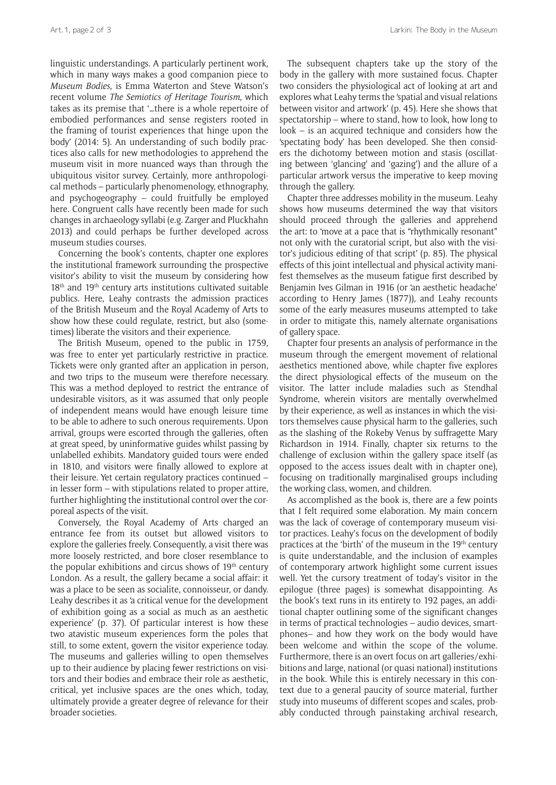linguistic understandings. A particularly pertinent work, which in many ways makes a good companion piece to *Museum Bodies,* is Emma Waterton and Steve Watson's recent volume *The Semiotics of Heritage Tourism,* which takes as its premise that '…there is a whole repertoire of embodied performances and sense registers rooted in the framing of tourist experiences that hinge upon the body' (2014: 5). An understanding of such bodily practices also calls for new methodologies to apprehend the museum visit in more nuanced ways than through the ubiquitous visitor survey. Certainly, more anthropological methods – particularly phenomenology, ethnography, and psychogeography – could fruitfully be employed here. Congruent calls have recently been made for such changes in archaeology syllabi (e.g. Zarger and Pluckhahn 2013) and could perhaps be further developed across museum studies courses.

Concerning the book's contents, chapter one explores the institutional framework surrounding the prospective visitor's ability to visit the museum by considering how  $18<sup>th</sup>$  and  $19<sup>th</sup>$  century arts institutions cultivated suitable publics. Here, Leahy contrasts the admission practices of the British Museum and the Royal Academy of Arts to show how these could regulate, restrict, but also (sometimes) liberate the visitors and their experience.

The British Museum, opened to the public in 1759, was free to enter yet particularly restrictive in practice. Tickets were only granted after an application in person, and two trips to the museum were therefore necessary. This was a method deployed to restrict the entrance of undesirable visitors, as it was assumed that only people of independent means would have enough leisure time to be able to adhere to such onerous requirements. Upon arrival, groups were escorted through the galleries, often at great speed, by uninformative guides whilst passing by unlabelled exhibits. Mandatory guided tours were ended in 1810, and visitors were finally allowed to explore at their leisure. Yet certain regulatory practices continued – in lesser form – with stipulations related to proper attire, further highlighting the institutional control over the corporeal aspects of the visit.

Conversely, the Royal Academy of Arts charged an entrance fee from its outset but allowed visitors to explore the galleries freely. Consequently, a visit there was more loosely restricted, and bore closer resemblance to the popular exhibitions and circus shows of  $19<sup>th</sup>$  century London. As a result, the gallery became a social affair: it was a place to be seen as socialite, connoisseur, or dandy. Leahy describes it as 'a critical venue for the development of exhibition going as a social as much as an aesthetic experience' (p. 37). Of particular interest is how these two atavistic museum experiences form the poles that still, to some extent, govern the visitor experience today. The museums and galleries willing to open themselves up to their audience by placing fewer restrictions on visitors and their bodies and embrace their role as aesthetic, critical, yet inclusive spaces are the ones which, today, ultimately provide a greater degree of relevance for their broader societies.

The subsequent chapters take up the story of the body in the gallery with more sustained focus. Chapter two considers the physiological act of looking at art and explores what Leahy terms the 'spatial and visual relations between visitor and artwork' (p. 45). Here she shows that spectatorship – where to stand, how to look, how long to  $look - is an acquired technique and considers how the$ 'spectating body' has been developed. She then considers the dichotomy between motion and stasis (oscillating between 'glancing' and 'gazing') and the allure of a particular artwork versus the imperative to keep moving through the gallery.

Chapter three addresses mobility in the museum. Leahy shows how museums determined the way that visitors should proceed through the galleries and apprehend the art: to 'move at a pace that is "rhythmically resonant" not only with the curatorial script, but also with the visitor's judicious editing of that script' (p. 85). The physical effects of this joint intellectual and physical activity manifest themselves as the museum fatigue first described by Benjamin Ives Gilman in 1916 (or 'an aesthetic headache' according to Henry James (1877)), and Leahy recounts some of the early measures museums attempted to take in order to mitigate this, namely alternate organisations of gallery space.

Chapter four presents an analysis of performance in the museum through the emergent movement of relational aesthetics mentioned above, while chapter five explores the direct physiological effects of the museum on the visitor. The latter include maladies such as Stendhal Syndrome, wherein visitors are mentally overwhelmed by their experience, as well as instances in which the visitors themselves cause physical harm to the galleries, such as the slashing of the Rokeby Venus by suffragette Mary Richardson in 1914. Finally, chapter six returns to the challenge of exclusion within the gallery space itself (as opposed to the access issues dealt with in chapter one), focusing on traditionally marginalised groups including the working class, women, and children.

As accomplished as the book is, there are a few points that I felt required some elaboration. My main concern was the lack of coverage of contemporary museum visitor practices. Leahy's focus on the development of bodily practices at the 'birth' of the museum in the 19<sup>th</sup> century is quite understandable, and the inclusion of examples of contemporary artwork highlight some current issues well. Yet the cursory treatment of today's visitor in the epilogue (three pages) is somewhat disappointing. As the book's text runs in its entirety to 192 pages, an additional chapter outlining some of the significant changes in terms of practical technologies – audio devices, smartphones– and how they work on the body would have been welcome and within the scope of the volume. Furthermore, there is an overt focus on art galleries/exhibitions and large, national (or quasi national) institutions in the book. While this is entirely necessary in this context due to a general paucity of source material, further study into museums of different scopes and scales, probably conducted through painstaking archival research,